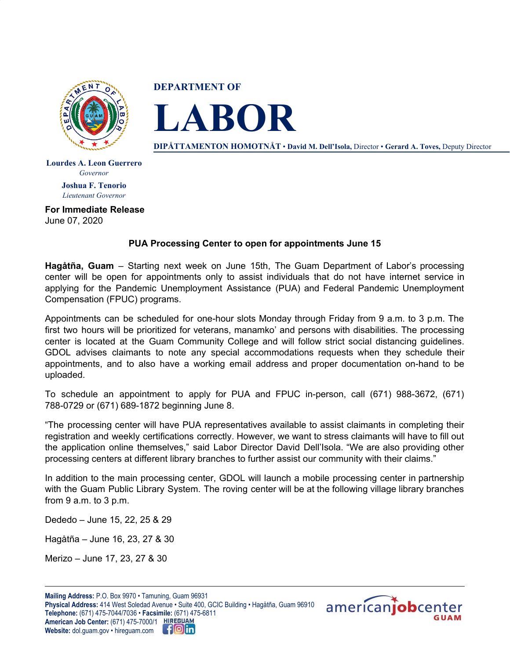

**DEPARTMENT OF**



**DIPÅTTAMENTON HOMOTNÅT** • **David M. Dell'Isola,** Director • **Gerard A. Toves,** Deputy Director

**Lourdes A. Leon Guerrero** *Governor* **Joshua F. Tenorio** *Lieutenant Governor*

**For Immediate Release** June 07, 2020

## **PUA Processing Center to open for appointments June 15**

**Hagåtña, Guam** – Starting next week on June 15th, The Guam Department of Labor's processing center will be open for appointments only to assist individuals that do not have internet service in applying for the Pandemic Unemployment Assistance (PUA) and Federal Pandemic Unemployment Compensation (FPUC) programs.

Appointments can be scheduled for one-hour slots Monday through Friday from 9 a.m. to 3 p.m. The first two hours will be prioritized for veterans, manamko' and persons with disabilities. The processing center is located at the Guam Community College and will follow strict social distancing guidelines. GDOL advises claimants to note any special accommodations requests when they schedule their appointments, and to also have a working email address and proper documentation on-hand to be uploaded.

To schedule an appointment to apply for PUA and FPUC in-person, call (671) 988-3672, (671) 788-0729 or (671) 689-1872 beginning June 8.

"The processing center will have PUA representatives available to assist claimants in completing their registration and weekly certifications correctly. However, we want to stress claimants will have to fill out the application online themselves," said Labor Director David Dell'Isola. "We are also providing other processing centers at different library branches to further assist our community with their claims."

In addition to the main processing center, GDOL will launch a mobile processing center in partnership with the Guam Public Library System. The roving center will be at the following village library branches from 9 a.m. to 3 p.m.

Dededo – June 15, 22, 25 & 29

Hagåtña – June 16, 23, 27 & 30

Merizo – June 17, 23, 27 & 30